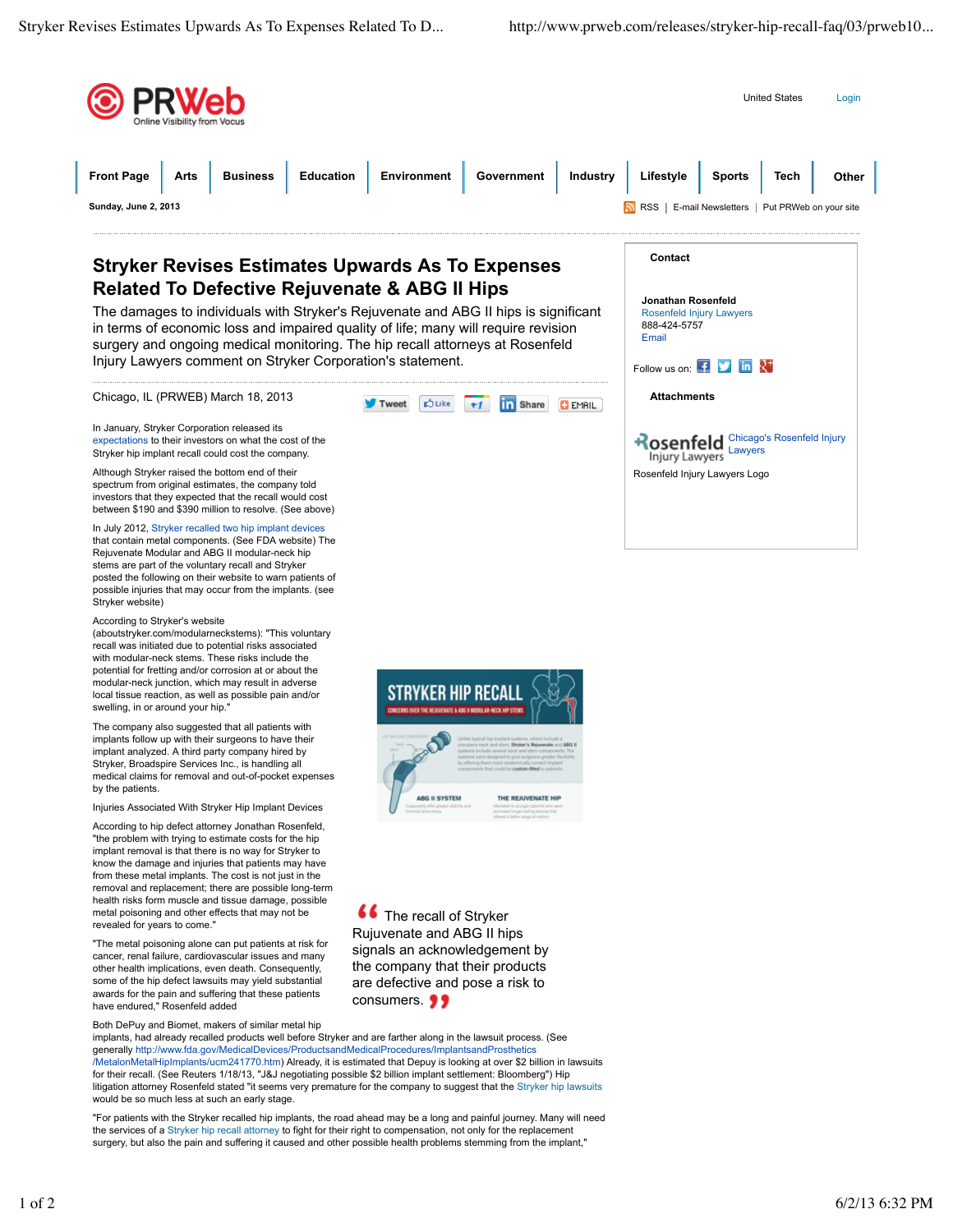

implants, had already recalled products well before Stryker and are farther along in the lawsuit process. (See generally http://www.fda.gov/MedicalDevices/ProductsandMedicalProcedures/ImplantsandProsthetics /MetalonMetalHipImplants/ucm241770.htm) Already, it is estimated that Depuy is looking at over \$2 billion in lawsuits for their recall. (See Reuters 1/18/13, "J&J negotiating possible \$2 billion implant settlement: Bloomberg") Hip litigation attorney Rosenfeld stated "it seems very premature for the company to suggest that the Stryker hip lawsuits would be so much less at such an early stage.

"For patients with the Stryker recalled hip implants, the road ahead may be a long and painful journey. Many will need the services of a Stryker hip recall attorney to fight for their right to compensation, not only for the replacement surgery, but also the pain and suffering it caused and other possible health problems stemming from the implant,"